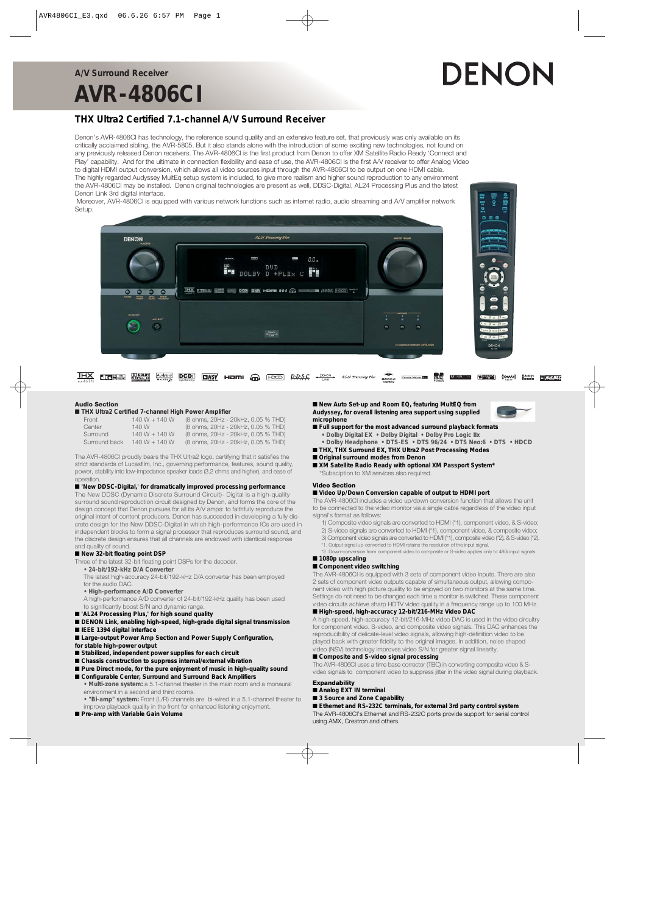#### **A/V Surround Receiver**

## **AVR-4806CI**

# DENON

#### **THX Ultra2 Certified 7.1-channel A/V Surround Receiver**

Denon's AVR-4806CI has technology, the reference sound quality and an extensive feature set, that previously was only available on its critically acclaimed sibling, the AVR-5805. But it also stands alone with the introduction of some exciting new technologies, not found on any previously released Denon receivers. The AVR-4806CI is the first product from Denon to offer XM Satellite Radio Ready 'Connect and Play' capability. And for the ultimate in connection flexibility and ease of use, the AVR-4806CI is the first A/V receiver to offer Analog Video to digital HDMI output conversion, which allows all video sources input through the AVR-4806CI to be output on one HDMI cable. The highly regarded Audyssey MultEq setup system is included, to give more realism and higher sound reproduction to any environment the AVR-4806CI may be installed. Denon original technologies are present as well, DDSC-Digital, AL24 Processing Plus and the latest Denon Link 3rd digital interface.

Moreover, AVR-4806CI is equipped with various network functions such as internet radio, audio streaming and A/V amplifier network Setup.





**EXAMPLE HERE THE CONSIDER PROPERTY ALLY PROCESSING PULSE SUBJECT CONSIDER SUBJECT OF THE SUBJECT OF THE STATE OF THE STATE OF THE STATE OF THE STATE OF THE STATE OF THE STATE OF THE STATE OF THE STATE OF THE STATE OF THE THX H S**<sup>26</sup><sup>29</sup> **DUPOLBY Audyssey DCDi Personal Memory <b>Disk Excellent** Multi Room **(CEMA)** ((CXM)) **Restrict FRICALCEXEY**<br>POWER POWER

#### **Audio Section**

#### ■ **THX Ultra2 Certified 7-channel High Power Amplifier**

| (8 ohms, 20Hz - 20kHz, 0.05 % THD)<br>$140 W + 140 W$<br>Front         |  |
|------------------------------------------------------------------------|--|
| (8 ohms, 20Hz - 20kHz, 0.05 % THD)<br>140 W<br>Center                  |  |
| (8 ohms, 20Hz - 20kHz, 0.05 % THD)<br>$140 W + 140 W$<br>Surround      |  |
| $140 W + 140 W$<br>(8 ohms, 20Hz - 20kHz, 0.05 % THD)<br>Surround back |  |

The AVR-4806CI proudly bears the THX Ultra2 logo, certifying that it satisfies the strict standards of Lucasfilm, Inc., governing performance, features, sound quality, power, stability into low-impedance speaker loads (3.2 ohms and higher), and ease of operation.

#### ■ **'New DDSC-Digital,' for dramatically improved processing performance**

The New DDSC (Dynamic Discrete Surround Circuit)- Digital is a high-quality surround sound reproduction circuit designed by Denon, and forms the core of the design concept that Denon pursues for all its A/V amps: to faithfully reproduce the original intent of content producers. Denon has succeeded in developing a fully discrete design for the New DDSC-Digital in which high-performance ICs are used in independent blocks to form a signal processor that reproduces surround sound, and the discrete design ensures that all channels are endowed with identical response and quality of sound.

#### ■ New 32-bit floating point DSP

- Three of the latest 32-bit floating point DSPs for the decoder.
	- **24-bit/192-kHz D/A Converter**

The latest high-accuracy 24-bit/192-kHz D/A converter has been employed for the audio DAC.

- **High-performance A/D Converter**
- A high-performance A/D converter of 24-bit/192-kHz quality has been used to significantly boost S/N and dynamic range.
- 'AL24<sup></sup> Processing Plus,' for high sound quality
- **DENON Link, enabling high-speed, high-grade digital signal transmission**
- **IEEE 1394 digital interface**

■ Large-output Power Amp Section and Power Supply Configuration,

- **for stable high-power output**
- Stabilized, independent power supplies for each circuit
- **Chassis construction to suppress internal/external vibration**
- Pure Direct mode, for the pure enjoyment of music in high-quality sound ■ Configurable Center, Surround and Surround Back Amplifiers
	- **Multi-zone system:** a 5.1-channel theater in the main room and a monaural environment in a second and third rooms.
	- **"Bi-amp" system:** Front (L/R) channels are bi-wired in a 5.1-channel theater to improve playback quality in the front for enhanced listening enjoyment.
- **Pre-amp with Variable Gain Volume**

■ New Auto Set-up and Room EQ, featuring MultEQ from **Audyssey, for overall listening area support using supplied microphone**

- **Full support for the most advanced surround playback formats • Dolby Digital EX • Dolby Digital • Dolby Pro Logic IIx**
- **Dolby Headphone DTS-ES DTS 96/24 DTS Neo:6 DTS HDCD** ■ **THX, THX Surround EX, THX Ultra2 Post Processing Modes**
- **Original surround modes from Denon**
- **XM Satellite Radio Ready with optional XM Passport System\*** Subsciption to XM services also required.

#### **Video Section** ■ Video Up/Down Conversion capable of output to HDMI port

The AVR-4806CI includes a video up/down conversion function that allows the unit to be connected to the video monitor via a single cable regardless of the video input signal's format as follows:

- 1) Composite video signals are converted to HDMI (\*1), component video, & S-video; 2) S-video signals are converted to HDMI (\*1), component video, & composite video;
- 3) Component video signals are converted to HDMI (\*1), composite video (\*2), & S-video (\*2).
- \*1. Output signal up-converted to HDMI retains the resolution of the input signal.

\*2. Down-conversion from component video to composite or S-video applies only to 480i input signals. ■ 1080p upscaling

#### ■ Component video switching

The AVR-4806CI is equipped with 3 sets of component video inputs. There are also 2 sets of component video outputs capable of simultaneous output, allowing component video with high picture quality to be enjoyed on two monitors at the same time. Settings do not need to be changed each time a monitor is switched. These component video circuits achieve sharp HDTV video quality in a frequency range up to 100 MHz.

#### ■ **High-speed, high-accuracy 12-bit/216-MHz Video DAC**

A high-speed, high-accuracy 12-bit/216-MHz video DAC is used in the video circuitry for component video, S-video, and composite video signals. This DAC enhances the reproducibility of delicate-level video signals, allowing high-definition video to be played back with greater fidelity to the original images. In addition, noise shaped video (NSV) technology improves video S/N for greater signal linearity.

#### ■ **Composite and S-video signal processing**

The AVR-4806CI uses a time base corrector (TBC) in converting composite video & Svideo signals to component video to suppress jitter in the video signal during playback.

#### **Expandability**

#### ■ **Analog EXT IN terminal**

■ 3 Source and Zone Capability

■ **Ethernet and RS-232C terminals, for external 3rd party control system** The AVR-4806CI's Ethernet and RS-232C ports provide support for serial control using AMX, Crestron and others.